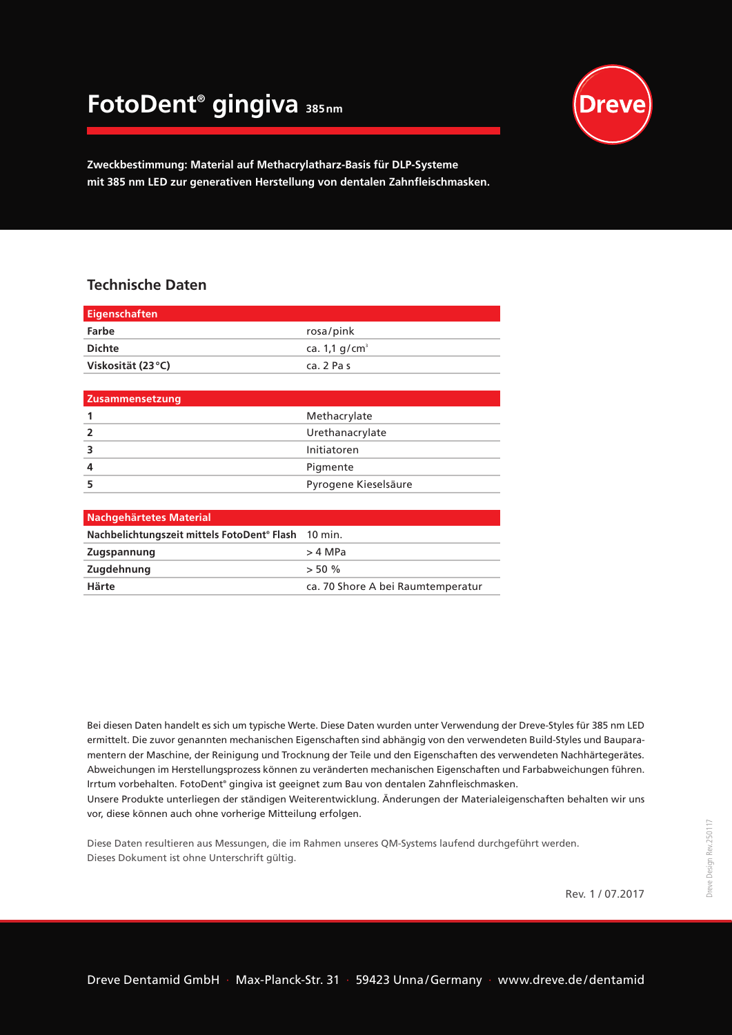## **FotoDent® gingiva 385nm**



**Zweckbestimmung: Material auf Methacrylatharz-Basis für DLP-Systeme mit 385 nm LED zur generativen Herstellung von dentalen Zahnfleischmasken.**

## **Technische Daten**

| <b>Eigenschaften</b>           |                             |
|--------------------------------|-----------------------------|
| Farbe                          | rosa/pink                   |
| <b>Dichte</b>                  | ca. $1,1$ g/cm <sup>3</sup> |
| Viskosität (23°C)              | ca. 2 Pas                   |
|                                |                             |
| Zusammensetzung                |                             |
| 1                              | Methacrylate                |
| $\overline{2}$                 | Urethanacrylate             |
| 3                              | Initiatoren                 |
| 4                              | Pigmente                    |
| 5                              | Pyrogene Kieselsäure        |
|                                |                             |
| <b>Nachgehärtetes Material</b> |                             |
|                                |                             |

| Nachbelichtungszeit mittels FotoDent <sup>®</sup> Flash 10 min. |                                   |
|-----------------------------------------------------------------|-----------------------------------|
| <b>Zugspannung</b>                                              | > 4 MPa                           |
| Zugdehnung                                                      | $>$ 50 %                          |
| Härte                                                           | ca. 70 Shore A bei Raumtemperatur |

Bei diesen Daten handelt es sich um typische Werte. Diese Daten wurden unter Verwendung der Dreve-Styles für 385 nm LED ermittelt. Die zuvor genannten mechanischen Eigenschaften sind abhängig von den verwendeten Build-Styles und Bauparamentern der Maschine, der Reinigung und Trocknung der Teile und den Eigenschaften des verwendeten Nachhärtegerätes. Abweichungen im Herstellungsprozess können zu veränderten mechanischen Eigenschaften und Farbabweichungen führen. Irrtum vorbehalten. FotoDent® gingiva ist geeignet zum Bau von dentalen Zahnfleischmasken.

Unsere Produkte unterliegen der ständigen Weiterentwicklung. Änderungen der Materialeigenschaften behalten wir uns vor, diese können auch ohne vorherige Mitteilung erfolgen.

Diese Daten resultieren aus Messungen, die im Rahmen unseres QM-Systems laufend durchgeführt werden. Dieses Dokument ist ohne Unterschrift gültig.